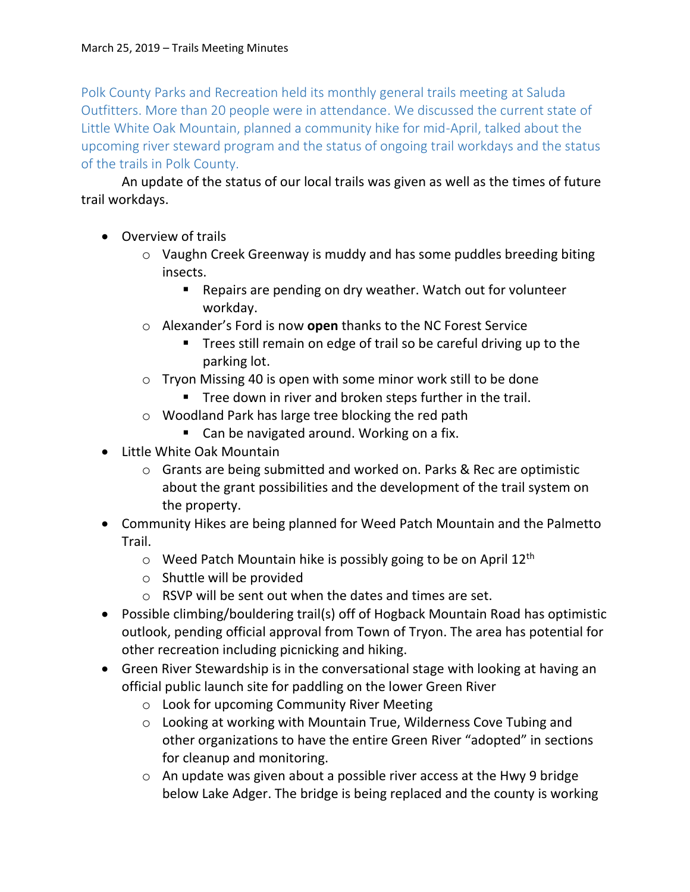Polk County Parks and Recreation held its monthly general trails meeting at Saluda Outfitters. More than 20 people were in attendance. We discussed the current state of Little White Oak Mountain, planned a community hike for mid-April, talked about the upcoming river steward program and the status of ongoing trail workdays and the status of the trails in Polk County.

An update of the status of our local trails was given as well as the times of future trail workdays.

- Overview of trails
	- o Vaughn Creek Greenway is muddy and has some puddles breeding biting insects.
		- Repairs are pending on dry weather. Watch out for volunteer workday.
	- o Alexander's Ford is now **open** thanks to the NC Forest Service
		- **Trees still remain on edge of trail so be careful driving up to the** parking lot.
	- o Tryon Missing 40 is open with some minor work still to be done
		- **Tree down in river and broken steps further in the trail.**
	- o Woodland Park has large tree blocking the red path
		- Can be navigated around. Working on a fix.
- Little White Oak Mountain
	- o Grants are being submitted and worked on. Parks & Rec are optimistic about the grant possibilities and the development of the trail system on the property.
- Community Hikes are being planned for Weed Patch Mountain and the Palmetto Trail.
	- $\circ$  Weed Patch Mountain hike is possibly going to be on April 12<sup>th</sup>
	- o Shuttle will be provided
	- o RSVP will be sent out when the dates and times are set.
- Possible climbing/bouldering trail(s) off of Hogback Mountain Road has optimistic outlook, pending official approval from Town of Tryon. The area has potential for other recreation including picnicking and hiking.
- Green River Stewardship is in the conversational stage with looking at having an official public launch site for paddling on the lower Green River
	- o Look for upcoming Community River Meeting
	- o Looking at working with Mountain True, Wilderness Cove Tubing and other organizations to have the entire Green River "adopted" in sections for cleanup and monitoring.
	- o An update was given about a possible river access at the Hwy 9 bridge below Lake Adger. The bridge is being replaced and the county is working